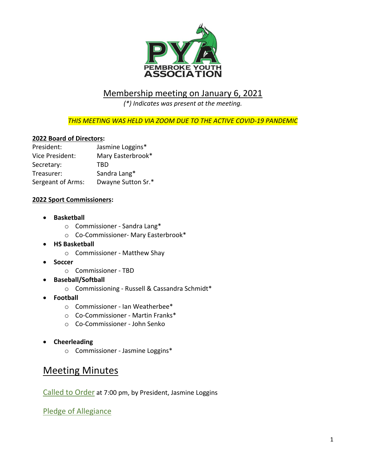

### Membership meeting on January 6, 2021

*(\*) Indicates was present at the meeting.*

*THIS MEETING WAS HELD VIA ZOOM DUE TO THE ACTIVE COVID-19 PANDEMIC*

#### **2022 Board of Directors:**

| President:        | Jasmine Loggins*   |
|-------------------|--------------------|
| Vice President:   | Mary Easterbrook*  |
| Secretary:        | TBD                |
| Treasurer:        | Sandra Lang*       |
| Sergeant of Arms: | Dwayne Sutton Sr.* |

#### **2022 Sport Commissioners:**

- **Basketball**
	- o Commissioner Sandra Lang\*
	- o Co-Commissioner- Mary Easterbrook\*
- **HS Basketball**
	- o Commissioner Matthew Shay
- **Soccer** 
	- o Commissioner TBD
- **Baseball/Softball** 
	- o Commissioning Russell & Cassandra Schmidt\*
- **Football**
	- o Commissioner Ian Weatherbee\*
	- o Co-Commissioner Martin Franks\*
	- o Co-Commissioner John Senko
- **Cheerleading** 
	- o Commissioner Jasmine Loggins\*

## Meeting Minutes

Called to Order at 7:00 pm, by President, Jasmine Loggins

Pledge of Allegiance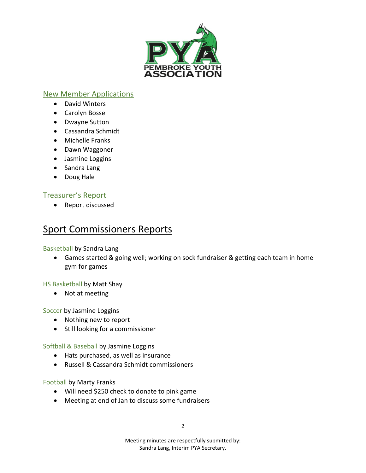

### New Member Applications

- David Winters
- Carolyn Bosse
- Dwayne Sutton
- Cassandra Schmidt
- Michelle Franks
- Dawn Waggoner
- Jasmine Loggins
- Sandra Lang
- Doug Hale

### Treasurer's Report

• Report discussed

# Sport Commissioners Reports

Basketball by Sandra Lang

• Games started & going well; working on sock fundraiser & getting each team in home gym for games

HS Basketball by Matt Shay

• Not at meeting

Soccer by Jasmine Loggins

- Nothing new to report
- Still looking for a commissioner

Softball & Baseball by Jasmine Loggins

- Hats purchased, as well as insurance
- Russell & Cassandra Schmidt commissioners

Football by Marty Franks

- Will need \$250 check to donate to pink game
- Meeting at end of Jan to discuss some fundraisers

Meeting minutes are respectfully submitted by: Sandra Lang, Interim PYA Secretary.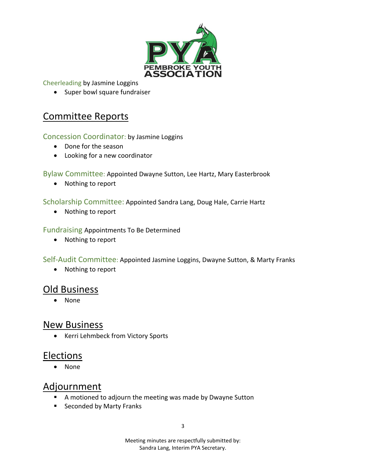

Cheerleading by Jasmine Loggins

• Super bowl square fundraiser

## Committee Reports

Concession Coordinator: by Jasmine Loggins

- Done for the season
- Looking for a new coordinator

#### Bylaw Committee: Appointed Dwayne Sutton, Lee Hartz, Mary Easterbrook

• Nothing to report

Scholarship Committee: Appointed Sandra Lang, Doug Hale, Carrie Hartz

• Nothing to report

#### Fundraising Appointments To Be Determined

• Nothing to report

Self-Audit Committee: Appointed Jasmine Loggins, Dwayne Sutton, & Marty Franks

• Nothing to report

## Old Business

• None

### New Business

• Kerri Lehmbeck from Victory Sports

### Elections

• None

## **Adjournment**

- A motioned to adjourn the meeting was made by Dwayne Sutton
- Seconded by Marty Franks

Meeting minutes are respectfully submitted by: Sandra Lang, Interim PYA Secretary.